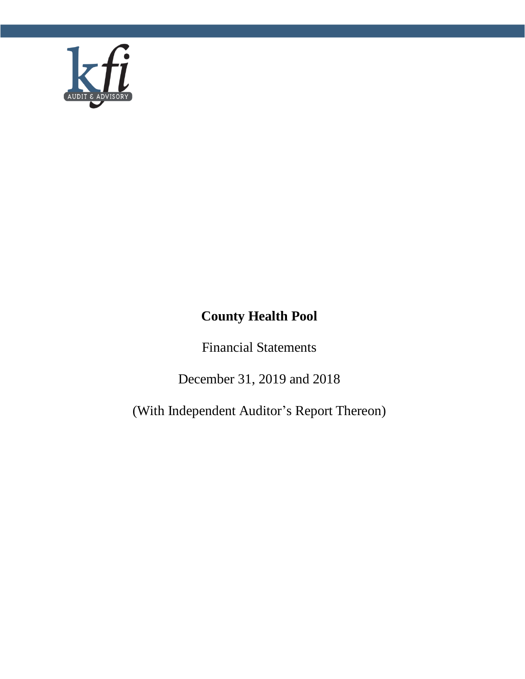

# **County Health Pool**

Financial Statements

December 31, 2019 and 2018

(With Independent Auditor's Report Thereon)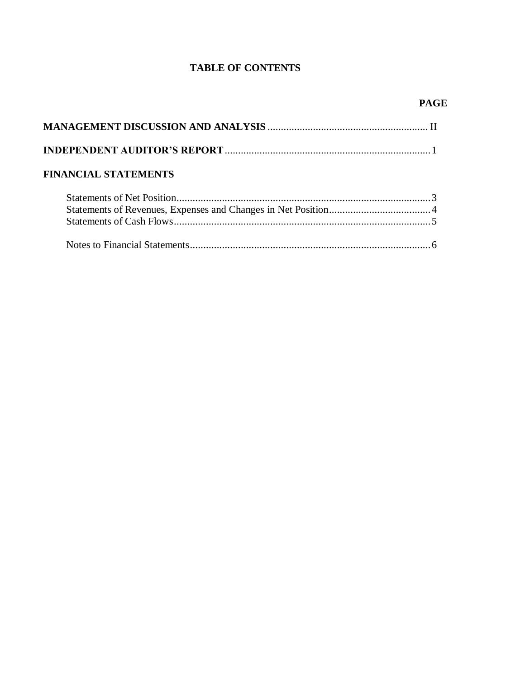## **TABLE OF CONTENTS**

## **FINANCIAL STATEMENTS**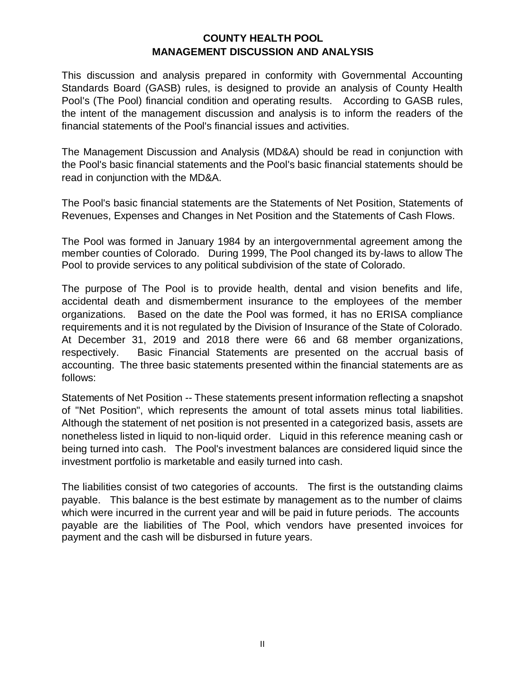This discussion and analysis prepared in conformity with Governmental Accounting Standards Board (GASB) rules, is designed to provide an analysis of County Health Pool's (The Pool) financial condition and operating results. According to GASB rules, the intent of the management discussion and analysis is to inform the readers of the financial statements of the Pool's financial issues and activities.

The Management Discussion and Analysis (MD&A) should be read in conjunction with the Pool's basic financial statements and the Pool's basic financial statements should be read in conjunction with the MD&A.

The Pool's basic financial statements are the Statements of Net Position, Statements of Revenues, Expenses and Changes in Net Position and the Statements of Cash Flows.

The Pool was formed in January 1984 by an intergovernmental agreement among the member counties of Colorado. During 1999, The Pool changed its by-laws to allow The Pool to provide services to any political subdivision of the state of Colorado.

The purpose of The Pool is to provide health, dental and vision benefits and life, accidental death and dismemberment insurance to the employees of the member organizations. Based on the date the Pool was formed, it has no ERISA compliance requirements and it is not regulated by the Division of Insurance of the State of Colorado. At December 31, 2019 and 2018 there were 66 and 68 member organizations, respectively. Basic Financial Statements are presented on the accrual basis of accounting. The three basic statements presented within the financial statements are as follows:

Statements of Net Position -- These statements present information reflecting a snapshot of "Net Position", which represents the amount of total assets minus total liabilities. Although the statement of net position is not presented in a categorized basis, assets are nonetheless listed in liquid to non-liquid order. Liquid in this reference meaning cash or being turned into cash. The Pool's investment balances are considered liquid since the investment portfolio is marketable and easily turned into cash.

The liabilities consist of two categories of accounts. The first is the outstanding claims payable. This balance is the best estimate by management as to the number of claims which were incurred in the current year and will be paid in future periods. The accounts payable are the liabilities of The Pool, which vendors have presented invoices for payment and the cash will be disbursed in future years.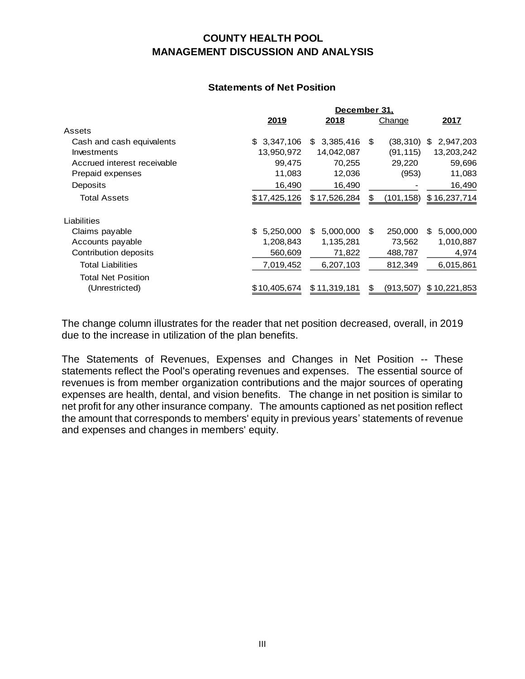### **Statements of Net Position**

|                             | December 31,    |                  |     |            |                  |
|-----------------------------|-----------------|------------------|-----|------------|------------------|
|                             | 2019            | 2018             |     | Change     | <u> 2017</u>     |
| Assets                      |                 |                  |     |            |                  |
| Cash and cash equivalents   | 3,347,106<br>\$ | 3,385,416<br>S.  | \$. | (38,310)   | 2,947,203<br>S   |
| Investments                 | 13,950,972      | 14,042,087       |     | (91,115)   | 13,203,242       |
| Accrued interest receivable | 99,475          | 70,255           |     | 29,220     | 59,696           |
| Prepaid expenses            | 11,083          | 12,036           |     | (953)      | 11,083           |
| Deposits                    | 16,490          | 16,490           |     |            | 16,490           |
| <b>Total Assets</b>         | \$17,425,126    | \$17,526,284     | \$  | (101, 158) | \$16,237,714     |
| Liabilities                 |                 |                  |     |            |                  |
| Claims payable              | \$<br>5,250,000 | 5,000,000<br>\$. | \$. | 250,000    | 5,000,000<br>\$. |
| Accounts payable            | 1,208,843       | 1,135,281        |     | 73,562     | 1,010,887        |
| Contribution deposits       | 560,609         | 71,822           |     | 488,787    | 4,974            |
| Total Liabilities           | 7,019,452       | 6,207,103        |     | 812,349    | 6,015,861        |
| <b>Total Net Position</b>   |                 |                  |     |            |                  |
| (Unrestricted)              | \$10,405,674    | \$11,319,181     | S   | (913, 507) | \$10,221,853     |

The change column illustrates for the reader that net position decreased, overall, in 2019 due to the increase in utilization of the plan benefits.

The Statements of Revenues, Expenses and Changes in Net Position -- These statements reflect the Pool's operating revenues and expenses. The essential source of revenues is from member organization contributions and the major sources of operating expenses are health, dental, and vision benefits. The change in net position is similar to net profit for any other insurance company. The amounts captioned as net position reflect the amount that corresponds to members' equity in previous years' statements of revenue and expenses and changes in members' equity.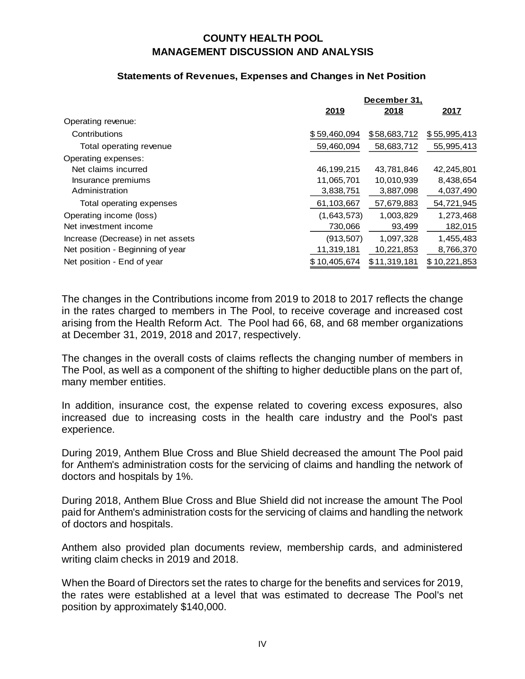## **Statements of Revenues, Expenses and Changes in Net Position**

|                                   | December 31, |              |              |  |
|-----------------------------------|--------------|--------------|--------------|--|
|                                   | <u>2019</u>  | <u>2018</u>  | 2017         |  |
| Operating revenue:                |              |              |              |  |
| Contributions                     | \$59,460,094 | \$58,683,712 | \$55,995,413 |  |
| Total operating revenue           | 59,460,094   | 58,683,712   | 55,995,413   |  |
| Operating expenses:               |              |              |              |  |
| Net claims incurred               | 46, 199, 215 | 43,781,846   | 42,245,801   |  |
| Insurance premiums                | 11,065,701   | 10,010,939   | 8,438,654    |  |
| Administration                    | 3,838,751    | 3,887,098    | 4,037,490    |  |
| Total operating expenses          | 61,103,667   | 57,679,883   | 54,721,945   |  |
| Operating income (loss)           | (1,643,573)  | 1,003,829    | 1,273,468    |  |
| Net investment income             | 730,066      | 93,499       | 182,015      |  |
| Increase (Decrease) in net assets | (913, 507)   | 1,097,328    | 1,455,483    |  |
| Net position - Beginning of year  | 11,319,181   | 10,221,853   | 8,766,370    |  |
| Net position - End of year        | \$10,405,674 | \$11,319,181 | \$10,221,853 |  |

The changes in the Contributions income from 2019 to 2018 to 2017 reflects the change in the rates charged to members in The Pool, to receive coverage and increased cost arising from the Health Reform Act. The Pool had 66, 68, and 68 member organizations at December 31, 2019, 2018 and 2017, respectively.

The changes in the overall costs of claims reflects the changing number of members in The Pool, as well as a component of the shifting to higher deductible plans on the part of, many member entities.

In addition, insurance cost, the expense related to covering excess exposures, also increased due to increasing costs in the health care industry and the Pool's past experience.

During 2019, Anthem Blue Cross and Blue Shield decreased the amount The Pool paid for Anthem's administration costs for the servicing of claims and handling the network of doctors and hospitals by 1%.

During 2018, Anthem Blue Cross and Blue Shield did not increase the amount The Pool paid for Anthem's administration costs for the servicing of claims and handling the network of doctors and hospitals.

Anthem also provided plan documents review, membership cards, and administered writing claim checks in 2019 and 2018.

When the Board of Directors set the rates to charge for the benefits and services for 2019, the rates were established at a level that was estimated to decrease The Pool's net position by approximately \$140,000.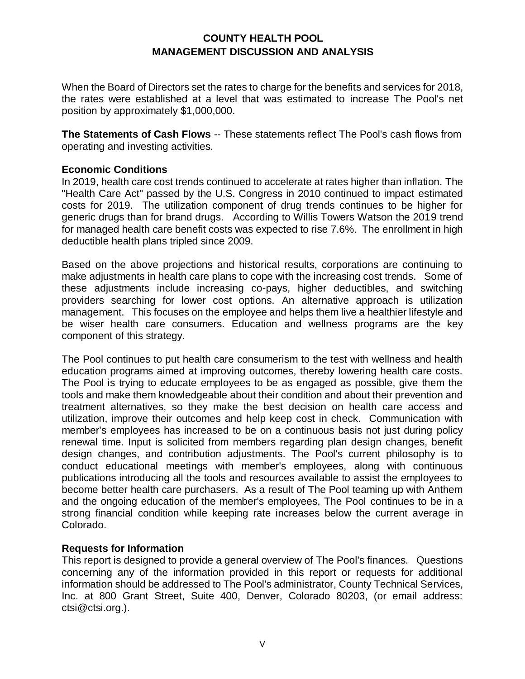When the Board of Directors set the rates to charge for the benefits and services for 2018, the rates were established at a level that was estimated to increase The Pool's net position by approximately \$1,000,000.

**The Statements of Cash Flows** -- These statements reflect The Pool's cash flows from operating and investing activities.

## **Economic Conditions**

In 2019, health care cost trends continued to accelerate at rates higher than inflation. The "Health Care Act" passed by the U.S. Congress in 2010 continued to impact estimated costs for 2019. The utilization component of drug trends continues to be higher for generic drugs than for brand drugs. According to Willis Towers Watson the 2019 trend for managed health care benefit costs was expected to rise 7.6%. The enrollment in high deductible health plans tripled since 2009.

Based on the above projections and historical results, corporations are continuing to make adjustments in health care plans to cope with the increasing cost trends. Some of these adjustments include increasing co-pays, higher deductibles, and switching providers searching for lower cost options. An alternative approach is utilization management. This focuses on the employee and helps them live a healthier lifestyle and be wiser health care consumers. Education and wellness programs are the key component of this strategy.

The Pool continues to put health care consumerism to the test with wellness and health education programs aimed at improving outcomes, thereby lowering health care costs. The Pool is trying to educate employees to be as engaged as possible, give them the tools and make them knowledgeable about their condition and about their prevention and treatment alternatives, so they make the best decision on health care access and utilization, improve their outcomes and help keep cost in check. Communication with member's employees has increased to be on a continuous basis not just during policy renewal time. Input is solicited from members regarding plan design changes, benefit design changes, and contribution adjustments. The Pool's current philosophy is to conduct educational meetings with member's employees, along with continuous publications introducing all the tools and resources available to assist the employees to become better health care purchasers. As a result of The Pool teaming up with Anthem and the ongoing education of the member's employees, The Pool continues to be in a strong financial condition while keeping rate increases below the current average in Colorado.

## **Requests for Information**

This report is designed to provide a general overview of The Pool's finances. Questions concerning any of the information provided in this report or requests for additional information should be addressed to The Pool's administrator, County Technical Services, Inc. at 800 Grant Street, Suite 400, Denver, Colorado 80203, (or email address: ctsi@ctsi.org.).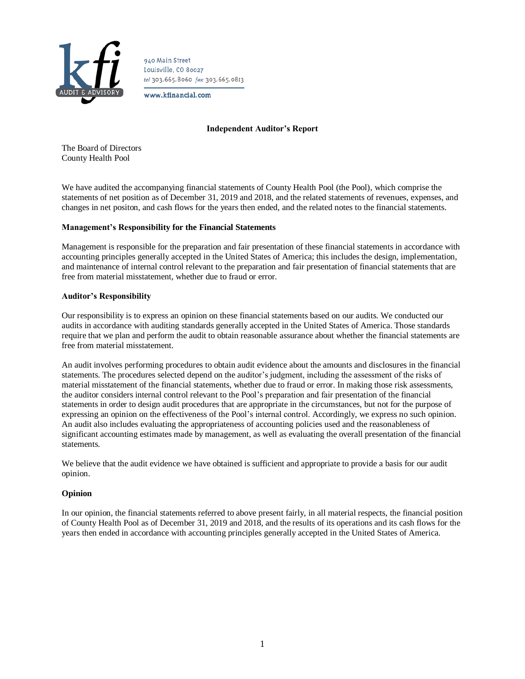

940 Main Street Louisville, CO 80027 tel 303.665.8060 fax 303.665.0813

www.kfinancial.com

#### **Independent Auditor's Report**

The Board of Directors County Health Pool

We have audited the accompanying financial statements of County Health Pool (the Pool), which comprise the statements of net position as of December 31, 2019 and 2018, and the related statements of revenues, expenses, and changes in net positon, and cash flows for the years then ended, and the related notes to the financial statements.

#### **Management's Responsibility for the Financial Statements**

Management is responsible for the preparation and fair presentation of these financial statements in accordance with accounting principles generally accepted in the United States of America; this includes the design, implementation, and maintenance of internal control relevant to the preparation and fair presentation of financial statements that are free from material misstatement, whether due to fraud or error.

#### **Auditor's Responsibility**

Our responsibility is to express an opinion on these financial statements based on our audits. We conducted our audits in accordance with auditing standards generally accepted in the United States of America. Those standards require that we plan and perform the audit to obtain reasonable assurance about whether the financial statements are free from material misstatement.

An audit involves performing procedures to obtain audit evidence about the amounts and disclosures in the financial statements. The procedures selected depend on the auditor's judgment, including the assessment of the risks of material misstatement of the financial statements, whether due to fraud or error. In making those risk assessments, the auditor considers internal control relevant to the Pool's preparation and fair presentation of the financial statements in order to design audit procedures that are appropriate in the circumstances, but not for the purpose of expressing an opinion on the effectiveness of the Pool's internal control. Accordingly, we express no such opinion. An audit also includes evaluating the appropriateness of accounting policies used and the reasonableness of significant accounting estimates made by management, as well as evaluating the overall presentation of the financial statements.

We believe that the audit evidence we have obtained is sufficient and appropriate to provide a basis for our audit opinion.

#### **Opinion**

In our opinion, the financial statements referred to above present fairly, in all material respects, the financial position of County Health Pool as of December 31, 2019 and 2018, and the results of its operations and its cash flows for the years then ended in accordance with accounting principles generally accepted in the United States of America.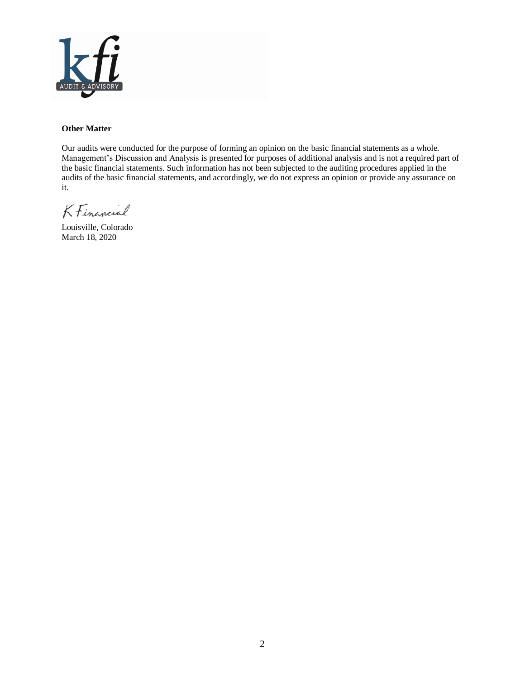

#### **Other Matter**

Our audits were conducted for the purpose of forming an opinion on the basic financial statements as a whole. Management's Discussion and Analysis is presented for purposes of additional analysis and is not a required part of the basic financial statements. Such information has not been subjected to the auditing procedures applied in the audits of the basic financial statements, and accordingly, we do not express an opinion or provide any assurance on it.

KFinancial

Louisville, Colorado March 18, 2020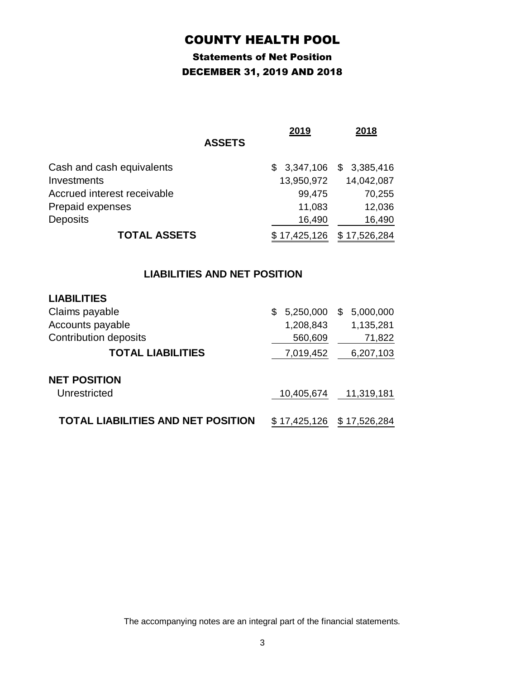## COUNTY HEALTH POOL

## Statements of Net Position DECEMBER 31, 2019 AND 2018

|                             | 2019         | 2018                      |
|-----------------------------|--------------|---------------------------|
| <b>ASSETS</b>               |              |                           |
| Cash and cash equivalents   |              | $$3,347,106$ $$3,385,416$ |
| Investments                 | 13,950,972   | 14,042,087                |
| Accrued interest receivable | 99,475       | 70,255                    |
| Prepaid expenses            | 11,083       | 12,036                    |
| <b>Deposits</b>             | 16,490       | 16,490                    |
| <b>TOTAL ASSETS</b>         | \$17,425,126 | \$17,526,284              |

## **LIABILITIES AND NET POSITION**

| <b>LIABILITIES</b>                        |                 |                |
|-------------------------------------------|-----------------|----------------|
| Claims payable                            | 5,250,000<br>\$ | 5,000,000<br>S |
| Accounts payable                          | 1,208,843       | 1,135,281      |
| <b>Contribution deposits</b>              | 560,609         | 71,822         |
| <b>TOTAL LIABILITIES</b>                  | 7,019,452       | 6,207,103      |
| <b>NET POSITION</b>                       |                 |                |
| Unrestricted                              | 10,405,674      | 11,319,181     |
| <b>TOTAL LIABILITIES AND NET POSITION</b> | \$17,425,126    | \$17,526,284   |

The accompanying notes are an integral part of the financial statements.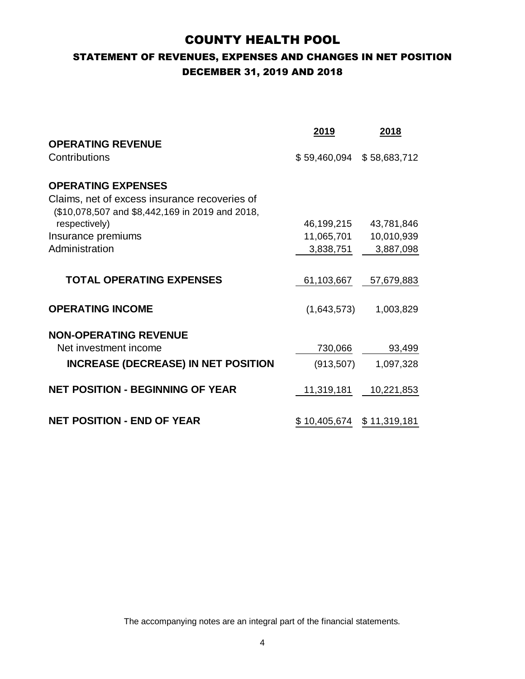## COUNTY HEALTH POOL

## STATEMENT OF REVENUES, EXPENSES AND CHANGES IN NET POSITION DECEMBER 31, 2019 AND 2018

|                                                 | 2019                      | 2018       |
|-------------------------------------------------|---------------------------|------------|
| <b>OPERATING REVENUE</b>                        |                           |            |
| Contributions                                   | \$59,460,094 \$58,683,712 |            |
| <b>OPERATING EXPENSES</b>                       |                           |            |
| Claims, net of excess insurance recoveries of   |                           |            |
| (\$10,078,507 and \$8,442,169 in 2019 and 2018, |                           |            |
| respectively)                                   | 46,199,215                | 43,781,846 |
| Insurance premiums                              | 11,065,701                | 10,010,939 |
| Administration                                  | 3,838,751                 | 3,887,098  |
|                                                 |                           |            |
| <b>TOTAL OPERATING EXPENSES</b>                 | 61,103,667                | 57,679,883 |
|                                                 |                           |            |
| <b>OPERATING INCOME</b>                         | (1,643,573)               | 1,003,829  |
| <b>NON-OPERATING REVENUE</b>                    |                           |            |
| Net investment income                           | 730,066                   | 93,499     |
| <b>INCREASE (DECREASE) IN NET POSITION</b>      |                           | 1,097,328  |
|                                                 | (913, 507)                |            |
| <b>NET POSITION - BEGINNING OF YEAR</b>         | 11,319,181                | 10,221,853 |
|                                                 |                           |            |
|                                                 |                           |            |
| <b>NET POSITION - END OF YEAR</b>               | \$10,405,674 \$11,319,181 |            |

The accompanying notes are an integral part of the financial statements.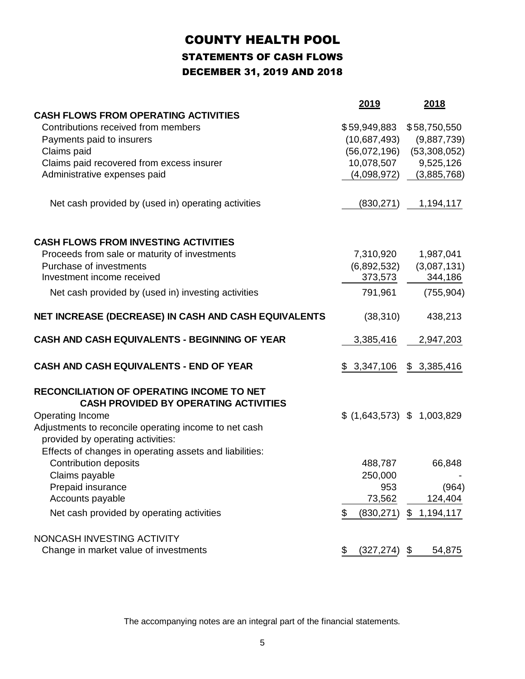## COUNTY HEALTH POOL STATEMENTS OF CASH FLOWS DECEMBER 31, 2019 AND 2018

|                                                                                                  | 2019                  | 2018                        |
|--------------------------------------------------------------------------------------------------|-----------------------|-----------------------------|
| <b>CASH FLOWS FROM OPERATING ACTIVITIES</b>                                                      |                       |                             |
| Contributions received from members                                                              | \$59,949,883          | \$58,750,550                |
| Payments paid to insurers                                                                        | (10,687,493)          | (9,887,739)                 |
| Claims paid                                                                                      | (56,072,196)          | (53,308,052)                |
| Claims paid recovered from excess insurer                                                        | 10,078,507            | 9,525,126                   |
| Administrative expenses paid                                                                     | (4,098,972)           | (3,885,768)                 |
| Net cash provided by (used in) operating activities                                              | (830, 271)            | 1,194,117                   |
| <b>CASH FLOWS FROM INVESTING ACTIVITIES</b>                                                      |                       |                             |
| Proceeds from sale or maturity of investments                                                    | 7,310,920             | 1,987,041                   |
| Purchase of investments                                                                          | (6,892,532)           | (3,087,131)                 |
| Investment income received                                                                       | 373,573               | 344,186                     |
| Net cash provided by (used in) investing activities                                              | 791,961               | (755, 904)                  |
| NET INCREASE (DECREASE) IN CASH AND CASH EQUIVALENTS                                             | (38, 310)             | 438,213                     |
| CASH AND CASH EQUIVALENTS - BEGINNING OF YEAR                                                    | 3,385,416             | 2,947,203                   |
| CASH AND CASH EQUIVALENTS - END OF YEAR                                                          | \$3,347,106           | \$3,385,416                 |
| <b>RECONCILIATION OF OPERATING INCOME TO NET</b><br><b>CASH PROVIDED BY OPERATING ACTIVITIES</b> |                       |                             |
| Operating Income                                                                                 |                       | \$ (1,643,573) \$ 1,003,829 |
| Adjustments to reconcile operating income to net cash<br>provided by operating activities:       |                       |                             |
| Effects of changes in operating assets and liabilities:<br><b>Contribution deposits</b>          | 488,787               |                             |
| Claims payable                                                                                   | 250,000               | 66,848                      |
| Prepaid insurance                                                                                | 953                   | (964)                       |
| Accounts payable                                                                                 | 73,562                | 124,404                     |
| Net cash provided by operating activities                                                        | (830, 271)<br>\$      | \$1,194,117                 |
| NONCASH INVESTING ACTIVITY                                                                       |                       |                             |
| Change in market value of investments                                                            | \$<br>$(327, 274)$ \$ | 54,875                      |

The accompanying notes are an integral part of the financial statements.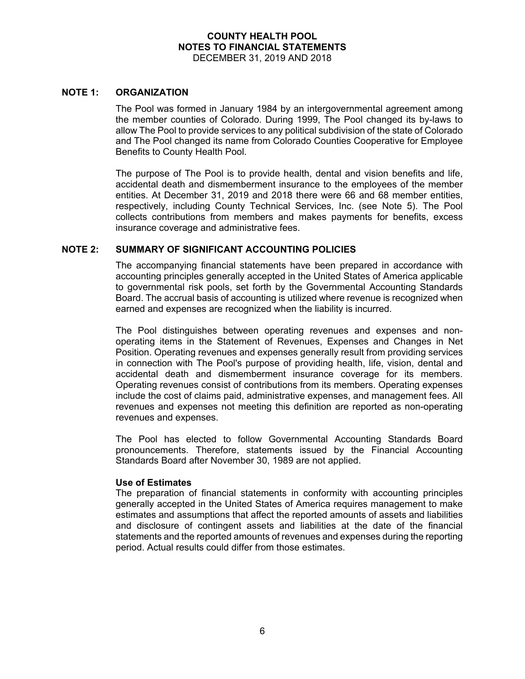### **NOTE 1: ORGANIZATION**

The Pool was formed in January 1984 by an intergovernmental agreement among the member counties of Colorado. During 1999, The Pool changed its by-laws to allow The Pool to provide services to any political subdivision of the state of Colorado and The Pool changed its name from Colorado Counties Cooperative for Employee Benefits to County Health Pool.

The purpose of The Pool is to provide health, dental and vision benefits and life, accidental death and dismemberment insurance to the employees of the member entities. At December 31, 2019 and 2018 there were 66 and 68 member entities, respectively, including County Technical Services, Inc. (see Note 5). The Pool collects contributions from members and makes payments for benefits, excess insurance coverage and administrative fees.

### **NOTE 2: SUMMARY OF SIGNIFICANT ACCOUNTING POLICIES**

The accompanying financial statements have been prepared in accordance with accounting principles generally accepted in the United States of America applicable to governmental risk pools, set forth by the Governmental Accounting Standards Board. The accrual basis of accounting is utilized where revenue is recognized when earned and expenses are recognized when the liability is incurred.

The Pool distinguishes between operating revenues and expenses and nonoperating items in the Statement of Revenues, Expenses and Changes in Net Position. Operating revenues and expenses generally result from providing services in connection with The Pool's purpose of providing health, life, vision, dental and accidental death and dismemberment insurance coverage for its members. Operating revenues consist of contributions from its members. Operating expenses include the cost of claims paid, administrative expenses, and management fees. All revenues and expenses not meeting this definition are reported as non-operating revenues and expenses.

The Pool has elected to follow Governmental Accounting Standards Board pronouncements. Therefore, statements issued by the Financial Accounting Standards Board after November 30, 1989 are not applied.

#### **Use of Estimates**

The preparation of financial statements in conformity with accounting principles generally accepted in the United States of America requires management to make estimates and assumptions that affect the reported amounts of assets and liabilities and disclosure of contingent assets and liabilities at the date of the financial statements and the reported amounts of revenues and expenses during the reporting period. Actual results could differ from those estimates.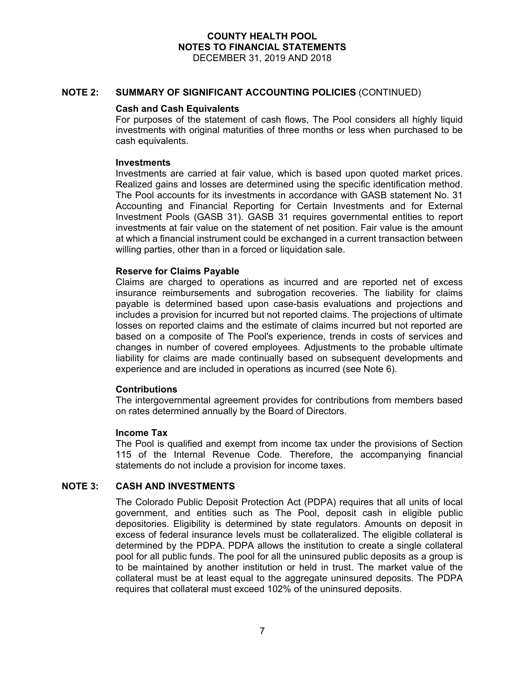## **NOTE 2: SUMMARY OF SIGNIFICANT ACCOUNTING POLICIES** (CONTINUED)

#### **Cash and Cash Equivalents**

For purposes of the statement of cash flows, The Pool considers all highly liquid investments with original maturities of three months or less when purchased to be cash equivalents.

#### **Investments**

Investments are carried at fair value, which is based upon quoted market prices. Realized gains and losses are determined using the specific identification method. The Pool accounts for its investments in accordance with GASB statement No. 31 Accounting and Financial Reporting for Certain Investments and for External Investment Pools (GASB 31). GASB 31 requires governmental entities to report investments at fair value on the statement of net position. Fair value is the amount at which a financial instrument could be exchanged in a current transaction between willing parties, other than in a forced or liquidation sale.

#### **Reserve for Claims Payable**

Claims are charged to operations as incurred and are reported net of excess insurance reimbursements and subrogation recoveries. The liability for claims payable is determined based upon case-basis evaluations and projections and includes a provision for incurred but not reported claims. The projections of ultimate losses on reported claims and the estimate of claims incurred but not reported are based on a composite of The Pool's experience, trends in costs of services and changes in number of covered employees. Adjustments to the probable ultimate liability for claims are made continually based on subsequent developments and experience and are included in operations as incurred (see Note 6).

#### **Contributions**

The intergovernmental agreement provides for contributions from members based on rates determined annually by the Board of Directors.

#### **Income Tax**

The Pool is qualified and exempt from income tax under the provisions of Section 115 of the Internal Revenue Code. Therefore, the accompanying financial statements do not include a provision for income taxes.

## **NOTE 3: CASH AND INVESTMENTS**

The Colorado Public Deposit Protection Act (PDPA) requires that all units of local government, and entities such as The Pool, deposit cash in eligible public depositories. Eligibility is determined by state regulators. Amounts on deposit in excess of federal insurance levels must be collateralized. The eligible collateral is determined by the PDPA. PDPA allows the institution to create a single collateral pool for all public funds. The pool for all the uninsured public deposits as a group is to be maintained by another institution or held in trust. The market value of the collateral must be at least equal to the aggregate uninsured deposits. The PDPA requires that collateral must exceed 102% of the uninsured deposits.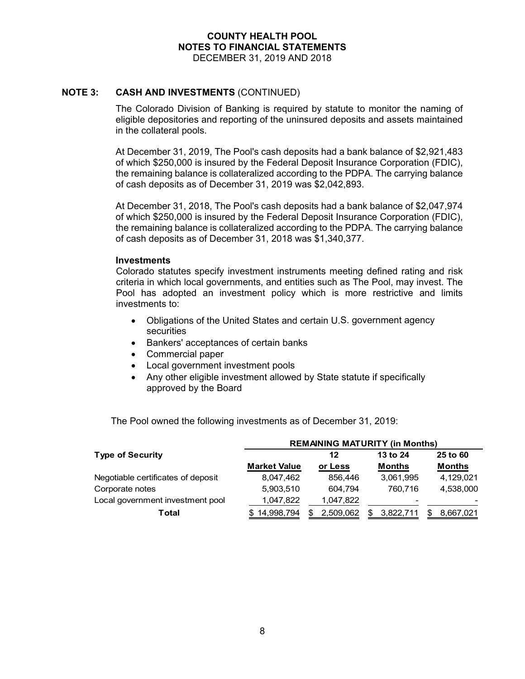## **NOTE 3: CASH AND INVESTMENTS** (CONTINUED)

The Colorado Division of Banking is required by statute to monitor the naming of eligible depositories and reporting of the uninsured deposits and assets maintained in the collateral pools.

At December 31, 2019, The Pool's cash deposits had a bank balance of \$2,921,483 of which \$250,000 is insured by the Federal Deposit Insurance Corporation (FDIC), the remaining balance is collateralized according to the PDPA. The carrying balance of cash deposits as of December 31, 2019 was \$2,042,893.

At December 31, 2018, The Pool's cash deposits had a bank balance of \$2,047,974 of which \$250,000 is insured by the Federal Deposit Insurance Corporation (FDIC), the remaining balance is collateralized according to the PDPA. The carrying balance of cash deposits as of December 31, 2018 was \$1,340,377.

#### **Investments**

Colorado statutes specify investment instruments meeting defined rating and risk criteria in which local governments, and entities such as The Pool, may invest. The Pool has adopted an investment policy which is more restrictive and limits investments to:

- Obligations of the United States and certain U.S. government agency securities
- Bankers' acceptances of certain banks
- Commercial paper
- Local government investment pools
- Any other eligible investment allowed by State statute if specifically approved by the Board

The Pool owned the following investments as of December 31, 2019:

|                                    | <b>REMAINING MATURITY (in Months)</b> |   |           |  |               |               |
|------------------------------------|---------------------------------------|---|-----------|--|---------------|---------------|
| <b>Type of Security</b>            |                                       |   | 12        |  | 13 to 24      | 25 to 60      |
|                                    | <b>Market Value</b>                   |   | or Less   |  | <b>Months</b> | <b>Months</b> |
| Negotiable certificates of deposit | 8,047,462                             |   | 856,446   |  | 3,061,995     | 4,129,021     |
| Corporate notes                    | 5,903,510                             |   | 604.794   |  | 760.716       | 4,538,000     |
| Local government investment pool   | 1,047,822                             |   | 1,047,822 |  | ۰             |               |
| Total                              | \$14,998,794                          | S | 2,509,062 |  | 3,822,711     | 8.667.021     |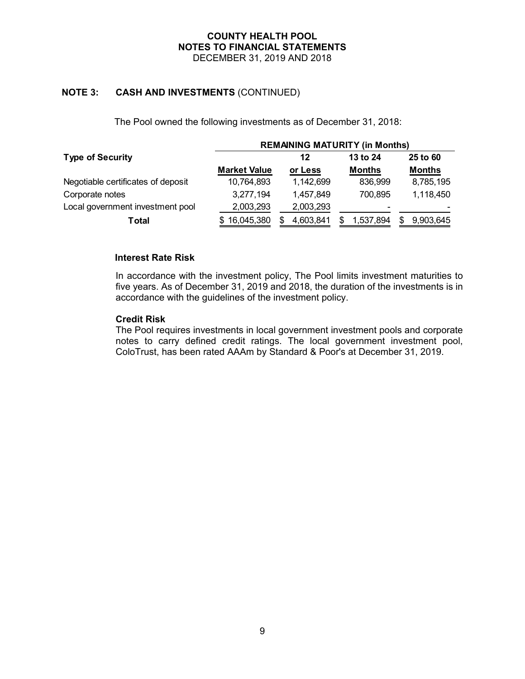## **NOTE 3: CASH AND INVESTMENTS** (CONTINUED)

The Pool owned the following investments as of December 31, 2018:

|                                    | <b>REMAINING MATURITY (in Months)</b> |           |                          |               |
|------------------------------------|---------------------------------------|-----------|--------------------------|---------------|
| <b>Type of Security</b>            |                                       | 12        | 13 to 24                 | 25 to 60      |
|                                    | <b>Market Value</b>                   | or Less   | <b>Months</b>            | <b>Months</b> |
| Negotiable certificates of deposit | 10,764,893                            | 1,142,699 | 836,999                  | 8,785,195     |
| Corporate notes                    | 3,277,194                             | 1,457,849 | 700,895                  | 1,118,450     |
| Local government investment pool   | 2,003,293                             | 2,003,293 | $\overline{\phantom{0}}$ |               |
| Total                              | 16,045,380                            | 4,603,841 | 1,537,894                | 9,903,645     |

#### **Interest Rate Risk**

In accordance with the investment policy, The Pool limits investment maturities to five years. As of December 31, 2019 and 2018, the duration of the investments is in accordance with the guidelines of the investment policy.

#### **Credit Risk**

The Pool requires investments in local government investment pools and corporate notes to carry defined credit ratings. The local government investment pool, ColoTrust, has been rated AAAm by Standard & Poor's at December 31, 2019.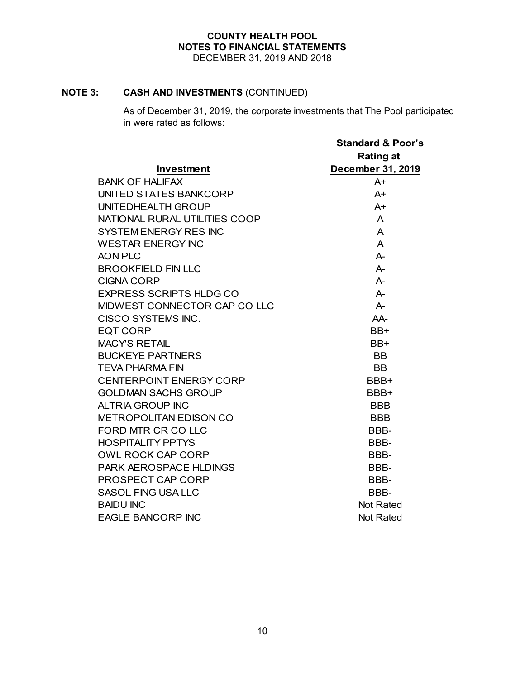## **NOTE 3: CASH AND INVESTMENTS** (CONTINUED)

As of December 31, 2019, the corporate investments that The Pool participated in were rated as follows:

|                                | <b>Standard &amp; Poor's</b> |
|--------------------------------|------------------------------|
|                                | <b>Rating at</b>             |
| Investment                     | December 31, 2019            |
| <b>BANK OF HALIFAX</b>         | $A+$                         |
| UNITED STATES BANKCORP         | A+                           |
| UNITEDHEALTH GROUP             | $A+$                         |
| NATIONAL RURAL UTILITIES COOP  | A                            |
| <b>SYSTEM ENERGY RES INC</b>   | A                            |
| <b>WESTAR ENERGY INC</b>       | A                            |
| <b>AON PLC</b>                 | $A -$                        |
| <b>BROOKFIELD FIN LLC</b>      | $A-$                         |
| <b>CIGNA CORP</b>              | $A-$                         |
| <b>EXPRESS SCRIPTS HLDG CO</b> | $A-$                         |
| MIDWEST CONNECTOR CAP CO LLC   | $A -$                        |
| CISCO SYSTEMS INC.             | AA-                          |
| <b>EQT CORP</b>                | BB+                          |
| <b>MACY'S RETAIL</b>           | BB+                          |
| <b>BUCKEYE PARTNERS</b>        | <b>BB</b>                    |
| <b>TEVA PHARMA FIN</b>         | <b>BB</b>                    |
| <b>CENTERPOINT ENERGY CORP</b> | BBB+                         |
| <b>GOLDMAN SACHS GROUP</b>     | BBB+                         |
| <b>ALTRIA GROUP INC</b>        | <b>BBB</b>                   |
| <b>METROPOLITAN EDISON CO</b>  | <b>BBB</b>                   |
| FORD MTR CR CO LLC             | BBB-                         |
| <b>HOSPITALITY PPTYS</b>       | BBB-                         |
| <b>OWL ROCK CAP CORP</b>       | BBB-                         |
| PARK AEROSPACE HLDINGS         | BBB-                         |
| PROSPECT CAP CORP              | BBB-                         |
| <b>SASOL FING USA LLC</b>      | BBB-                         |
| <b>BAIDU INC</b>               | <b>Not Rated</b>             |
| <b>EAGLE BANCORP INC</b>       | <b>Not Rated</b>             |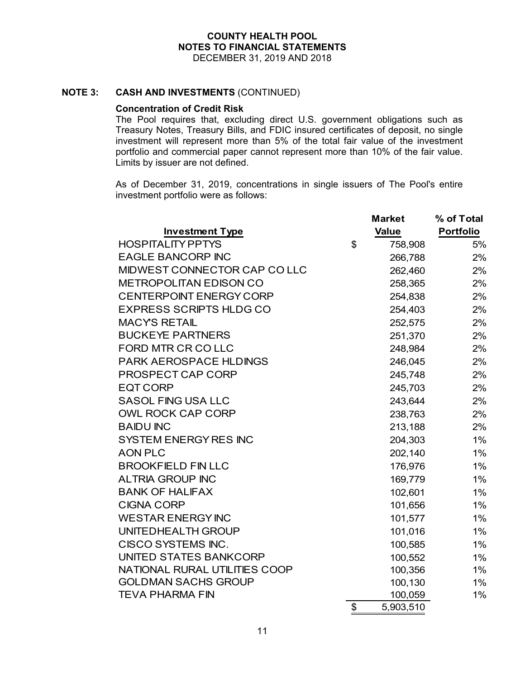## **NOTE 3: CASH AND INVESTMENTS** (CONTINUED)

#### **Concentration of Credit Risk**

The Pool requires that, excluding direct U.S. government obligations such as Treasury Notes, Treasury Bills, and FDIC insured certificates of deposit, no single investment will represent more than 5% of the total fair value of the investment portfolio and commercial paper cannot represent more than 10% of the fair value. Limits by issuer are not defined.

As of December 31, 2019, concentrations in single issuers of The Pool's entire investment portfolio were as follows:

|                                | <b>Market</b>   | % of Total       |
|--------------------------------|-----------------|------------------|
| <b>Investment Type</b>         | <b>Value</b>    | <b>Portfolio</b> |
| <b>HOSPITALITY PPTYS</b>       | \$<br>758,908   | 5%               |
| <b>EAGLE BANCORP INC</b>       | 266,788         | 2%               |
| MIDWEST CONNECTOR CAP COLLC    | 262,460         | 2%               |
| <b>METROPOLITAN EDISON CO</b>  | 258,365         | 2%               |
| <b>CENTERPOINT ENERGY CORP</b> | 254,838         | 2%               |
| <b>EXPRESS SCRIPTS HLDG CO</b> | 254,403         | 2%               |
| <b>MACYS RETAIL</b>            | 252,575         | 2%               |
| <b>BUCKEYE PARTNERS</b>        | 251,370         | 2%               |
| FORD MTR CR COLLC              | 248,984         | 2%               |
| <b>PARK AEROSPACE HLDINGS</b>  | 246,045         | 2%               |
| PROSPECT CAP CORP              | 245,748         | 2%               |
| <b>EQT CORP</b>                | 245,703         | 2%               |
| <b>SASOL FING USA LLC</b>      | 243,644         | 2%               |
| <b>OWL ROCK CAP CORP</b>       | 238,763         | 2%               |
| <b>BAIDU INC</b>               | 213,188         | 2%               |
| <b>SYSTEM ENERGY RES INC</b>   | 204,303         | 1%               |
| <b>AON PLC</b>                 | 202,140         | 1%               |
| <b>BROOKFIELD FIN LLC</b>      | 176,976         | 1%               |
| <b>ALTRIA GROUP INC</b>        | 169,779         | 1%               |
| <b>BANK OF HALIFAX</b>         | 102,601         | 1%               |
| <b>CIGNA CORP</b>              | 101,656         | 1%               |
| <b>WESTAR ENERGY INC</b>       | 101,577         | 1%               |
| UNITEDHEALTH GROUP             | 101,016         | 1%               |
| <b>CISCO SYSTEMS INC.</b>      | 100,585         | 1%               |
| UNITED STATES BANKCORP         | 100,552         | 1%               |
| NATIONAL RURAL UTILITIES COOP  | 100,356         | 1%               |
| <b>GOLDMAN SACHS GROUP</b>     | 100,130         | 1%               |
| <b>TEVA PHARMA FIN</b>         | 100,059         | 1%               |
|                                | \$<br>5,903,510 |                  |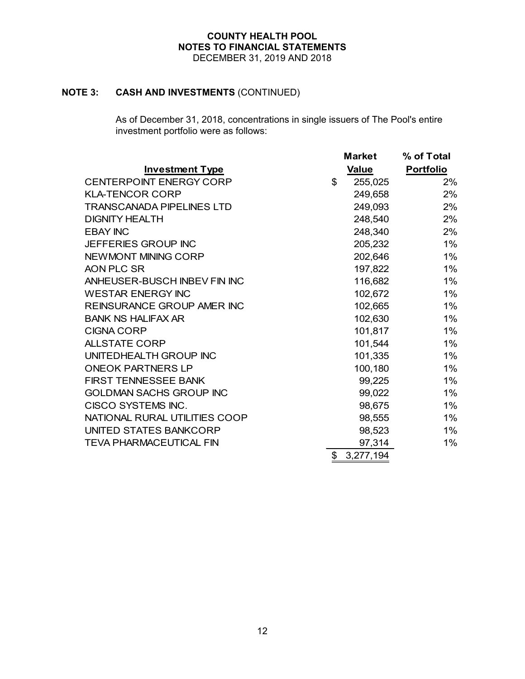## **NOTE 3: CASH AND INVESTMENTS** (CONTINUED)

As of December 31, 2018, concentrations in single issuers of The Pool's entire investment portfolio were as follows:

|                                   |               | <b>Market</b> | % of Total       |
|-----------------------------------|---------------|---------------|------------------|
| <b>Investment Type</b>            |               | Value         | <b>Portfolio</b> |
| <b>CENTERPOINT ENERGY CORP</b>    | \$            | 255,025       | 2%               |
| <b>KLA-TENCOR CORP</b>            |               | 249,658       | 2%               |
| <b>TRANSCANADA PIPELINES LTD</b>  |               | 249,093       | 2%               |
| <b>DIGNITY HEALTH</b>             |               | 248,540       | 2%               |
| <b>EBAY INC</b>                   |               | 248,340       | 2%               |
| <b>JEFFERIES GROUP INC</b>        |               | 205,232       | $1\%$            |
| NEWMONT MINING CORP               |               | 202,646       | $1\%$            |
| AON PLC SR                        |               | 197,822       | $1\%$            |
| ANHEUSER-BUSCH INBEV FIN INC      |               | 116,682       | 1%               |
| <b>WESTAR ENERGY INC</b>          |               | 102,672       | $1\%$            |
| <b>REINSURANCE GROUP AMER INC</b> |               | 102,665       | $1\%$            |
| <b>BANK NS HALIFAX AR</b>         |               | 102,630       | $1\%$            |
| <b>CIGNA CORP</b>                 |               | 101,817       | $1\%$            |
| <b>ALLSTATE CORP</b>              |               | 101,544       | $1\%$            |
| UNITEDHEALTH GROUP INC            |               | 101,335       | $1\%$            |
| <b>ONEOK PARTNERS LP</b>          |               | 100,180       | 1%               |
| <b>FIRST TENNESSEE BANK</b>       |               | 99,225        | $1\%$            |
| <b>GOLDMAN SACHS GROUP INC</b>    |               | 99,022        | $1\%$            |
| CISCO SYSTEMS INC.                |               | 98,675        | $1\%$            |
| NATIONAL RURAL UTILITIES COOP     |               | 98,555        | $1\%$            |
| UNITED STATES BANKCORP            |               | 98,523        | $1\%$            |
| <b>TEVA PHARMACEUTICAL FIN</b>    |               | 97,314        | 1%               |
|                                   | $\frac{1}{2}$ | 3,277,194     |                  |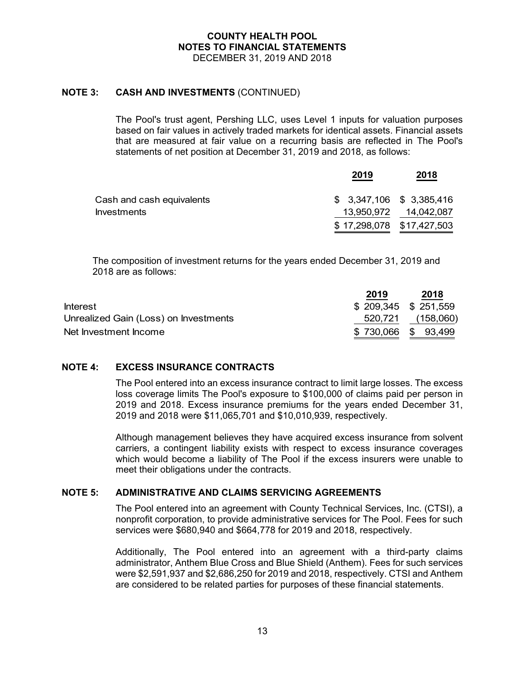## **NOTE 3: CASH AND INVESTMENTS** (CONTINUED)

The Pool's trust agent, Pershing LLC, uses Level 1 inputs for valuation purposes based on fair values in actively traded markets for identical assets. Financial assets that are measured at fair value on a recurring basis are reflected in The Pool's statements of net position at December 31, 2019 and 2018, as follows:

|                           | 2019                      | 2018                   |
|---------------------------|---------------------------|------------------------|
| Cash and cash equivalents | $$3,347,106$ $$3,385,416$ |                        |
| <b>Investments</b>        |                           | 13,950,972  14,042,087 |
|                           | \$17,298,078 \$17,427,503 |                        |

The composition of investment returns for the years ended December 31, 2019 and 2018 are as follows:

|                                       | 2019                  | 2018      |
|---------------------------------------|-----------------------|-----------|
| <b>Interest</b>                       | $$209,345$ $$251,559$ |           |
| Unrealized Gain (Loss) on Investments | 520,721               | (158,060) |
| Net Investment Income                 | $$730,066$ $$93,499$  |           |

### **NOTE 4: EXCESS INSURANCE CONTRACTS**

The Pool entered into an excess insurance contract to limit large losses. The excess loss coverage limits The Pool's exposure to \$100,000 of claims paid per person in 2019 and 2018. Excess insurance premiums for the years ended December 31, 2019 and 2018 were \$11,065,701 and \$10,010,939, respectively.

Although management believes they have acquired excess insurance from solvent carriers, a contingent liability exists with respect to excess insurance coverages which would become a liability of The Pool if the excess insurers were unable to meet their obligations under the contracts.

## **NOTE 5: ADMINISTRATIVE AND CLAIMS SERVICING AGREEMENTS**

The Pool entered into an agreement with County Technical Services, Inc. (CTSI), a nonprofit corporation, to provide administrative services for The Pool. Fees for such services were \$680,940 and \$664,778 for 2019 and 2018, respectively.

Additionally, The Pool entered into an agreement with a third-party claims administrator, Anthem Blue Cross and Blue Shield (Anthem). Fees for such services were \$2,591,937 and \$2,686,250 for 2019 and 2018, respectively. CTSI and Anthem are considered to be related parties for purposes of these financial statements.